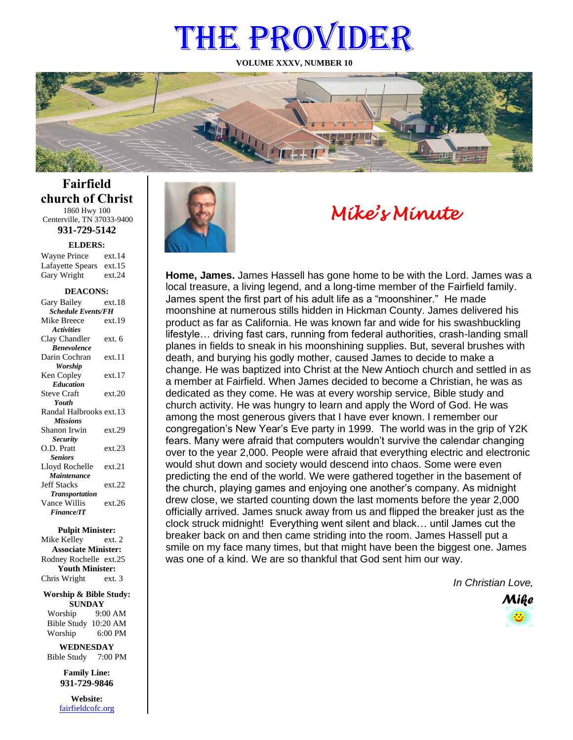# THE PROVIDER

**VOLUME XXXV, NUMBER 10**



**Fairfield church of Christ** 1860 Hwy 100 Centerville, TN 37033-9400

**931-729-5142**

**ELDERS:**

Gary Wright ext.24 Wayne Prince ext.14 Lafayette Spears ext.15

#### **DEACONS:**

| Gary Bailey               | ext.18 |  |
|---------------------------|--------|--|
| <b>Schedule Events/FH</b> |        |  |
| Mike Breece               | ext.19 |  |
| <b>Activities</b>         |        |  |
| Clay Chandler             | ext. 6 |  |
| <b>Benevolence</b>        |        |  |
| Darin Cochran             | ext.11 |  |
| <b>Worship</b>            |        |  |
| Ken Copley                | ext.17 |  |
| <b>Education</b>          |        |  |
| <b>Steve Craft</b>        | ext.20 |  |
| Youth                     |        |  |
| Randal Halbrooks ext.13   |        |  |
| <b>Missions</b>           |        |  |
| Shanon Irwin              | ext.29 |  |
| <b>Security</b>           |        |  |
| O.D. Pratt                | ext.23 |  |
| <b>Seniors</b>            |        |  |
| Lloyd Rochelle            | ext.21 |  |
| Maintenance               |        |  |
| <b>Jeff Stacks</b>        | ext.22 |  |
| <b>Transportation</b>     |        |  |
| Vance Willis              | ext.26 |  |
| <b>Finance/IT</b>         |        |  |

#### **Pulpit Minister:**

Mike Kelley ext. 2 **Associate Minister:** Rodney Rochelle ext.25 **Youth Minister:** Chris Wright ext. 3

#### **Worship & Bible Study: SUNDAY**

Worship 9:00 AM Bible Study 10:20 AM Worship 6:00 PM

**WEDNESDAY** Bible Study 7:00 PM

> **Family Line: 931-729-9846**

**Website:** [fairfieldcofc.org](file:///C:/Users/RickJoyce/Documents/Fairfield%20Website%20Files/fairfieldchurchofchrist.org)



# *Mike's Minute*

**Home, James.** James Hassell has gone home to be with the Lord. James was a local treasure, a living legend, and a long-time member of the Fairfield family. James spent the first part of his adult life as a "moonshiner." He made moonshine at numerous stills hidden in Hickman County. James delivered his product as far as California. He was known far and wide for his swashbuckling lifestyle… driving fast cars, running from federal authorities, crash-landing small planes in fields to sneak in his moonshining supplies. But, several brushes with death, and burying his godly mother, caused James to decide to make a change. He was baptized into Christ at the New Antioch church and settled in as a member at Fairfield. When James decided to become a Christian, he was as dedicated as they come. He was at every worship service, Bible study and church activity. He was hungry to learn and apply the Word of God. He was among the most generous givers that I have ever known. I remember our congregation's New Year's Eve party in 1999. The world was in the grip of Y2K fears. Many were afraid that computers wouldn't survive the calendar changing over to the year 2,000. People were afraid that everything electric and electronic would shut down and society would descend into chaos. Some were even predicting the end of the world. We were gathered together in the basement of the church, playing games and enjoying one another's company. As midnight drew close, we started counting down the last moments before the year 2,000 officially arrived. James snuck away from us and flipped the breaker just as the clock struck midnight! Everything went silent and black… until James cut the breaker back on and then came striding into the room. James Hassell put a smile on my face many times, but that might have been the biggest one. James was one of a kind. We are so thankful that God sent him our way.

*In Christian Love,*

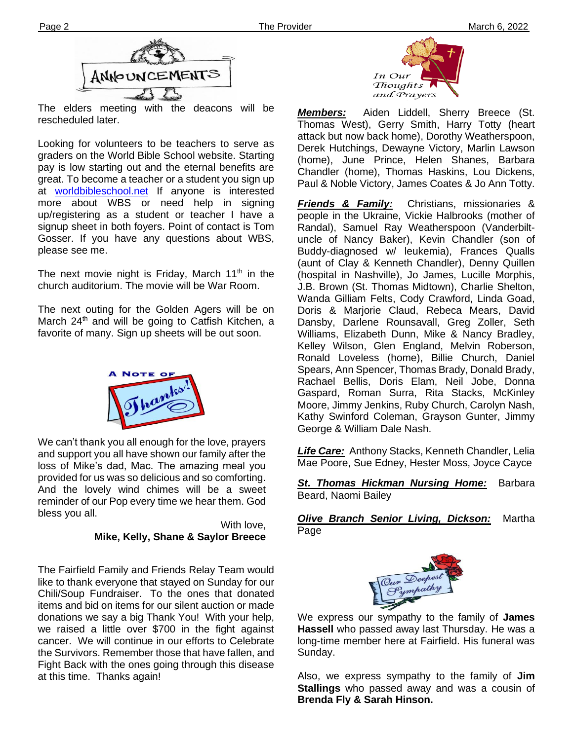

The elders meeting with the deacons will be rescheduled later.

at **worldbibleschool.net** If anyone is interested Looking for volunteers to be teachers to serve as graders on the World Bible School website. Starting pay is low starting out and the eternal benefits are great. To become a teacher or a student you sign up more about WBS or need help in signing up/registering as a student or teacher I have a signup sheet in both foyers. Point of contact is Tom Gosser. If you have any questions about WBS, please see me.

The next movie night is Friday, March 11<sup>th</sup> in the church auditorium. The movie will be War Room.

The next outing for the Golden Agers will be on March 24<sup>th</sup> and will be going to Catfish Kitchen, a favorite of many. Sign up sheets will be out soon.



We can't thank you all enough for the love, prayers and support you all have shown our family after the loss of Mike's dad, Mac. The amazing meal you provided for us was so delicious and so comforting. And the lovely wind chimes will be a sweet reminder of our Pop every time we hear them. God bless you all.

> With love, **Mike, Kelly, Shane & Saylor Breece**

The Fairfield Family and Friends Relay Team would like to thank everyone that stayed on Sunday for our Chili/Soup Fundraiser. To the ones that donated items and bid on items for our silent auction or made donations we say a big Thank You! With your help, we raised a little over \$700 in the fight against cancer. We will continue in our efforts to Celebrate the Survivors. Remember those that have fallen, and Fight Back with the ones going through this disease at this time. Thanks again!



*Members:* Aiden Liddell, Sherry Breece (St. Thomas West), Gerry Smith, Harry Totty (heart attack but now back home), Dorothy Weatherspoon, Derek Hutchings, Dewayne Victory, Marlin Lawson (home), June Prince, Helen Shanes, Barbara Chandler (home), Thomas Haskins, Lou Dickens, Paul & Noble Victory, James Coates & Jo Ann Totty.

*Friends & Family:* Christians, missionaries & people in the Ukraine, Vickie Halbrooks (mother of Randal), Samuel Ray Weatherspoon (Vanderbiltuncle of Nancy Baker), Kevin Chandler (son of Buddy-diagnosed w/ leukemia), Frances Qualls (aunt of Clay & Kenneth Chandler), Denny Quillen (hospital in Nashville), Jo James, Lucille Morphis, J.B. Brown (St. Thomas Midtown), Charlie Shelton, Wanda Gilliam Felts, Cody Crawford, Linda Goad, Doris & Marjorie Claud, Rebeca Mears, David Dansby, Darlene Rounsavall, Greg Zoller, Seth Williams, Elizabeth Dunn, Mike & Nancy Bradley, Kelley Wilson, Glen England, Melvin Roberson, Ronald Loveless (home), Billie Church, Daniel Spears, Ann Spencer, Thomas Brady, Donald Brady, Rachael Bellis, Doris Elam, Neil Jobe, Donna Gaspard, Roman Surra, Rita Stacks, McKinley Moore, Jimmy Jenkins, Ruby Church, Carolyn Nash, Kathy Swinford Coleman, Grayson Gunter, Jimmy George & William Dale Nash.

*Life Care:* Anthony Stacks, Kenneth Chandler, Lelia Mae Poore, Sue Edney, Hester Moss, Joyce Cayce

*St. Thomas Hickman Nursing Home:* Barbara Beard, Naomi Bailey

*Olive Branch Senior Living, Dickson:* Martha Page



We express our sympathy to the family of **James Hassell** who passed away last Thursday. He was a long-time member here at Fairfield. His funeral was Sunday.

Also, we express sympathy to the family of **Jim Stallings** who passed away and was a cousin of **Brenda Fly & Sarah Hinson.**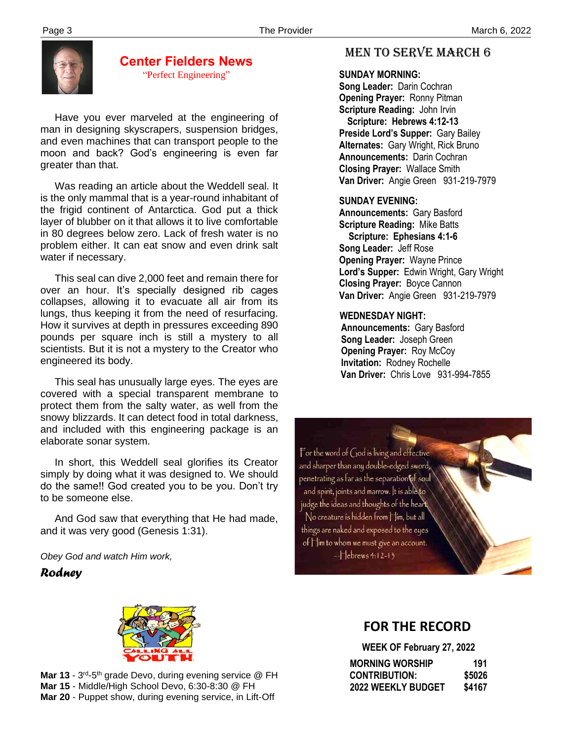

#### **Center Fielders News** "Perfect Engineering"

 Have you ever marveled at the engineering of man in designing skyscrapers, suspension bridges, and even machines that can transport people to the moon and back? God's engineering is even far greater than that.

 Was reading an article about the Weddell seal. It is the only mammal that is a year-round inhabitant of the frigid continent of Antarctica. God put a thick layer of blubber on it that allows it to live comfortable in 80 degrees below zero. Lack of fresh water is no problem either. It can eat snow and even drink salt water if necessary.

 This seal can dive 2,000 feet and remain there for over an hour. It's specially designed rib cages collapses, allowing it to evacuate all air from its lungs, thus keeping it from the need of resurfacing. How it survives at depth in pressures exceeding 890 pounds per square inch is still a mystery to all scientists. But it is not a mystery to the Creator who engineered its body.

 This seal has unusually large eyes. The eyes are covered with a special transparent membrane to protect them from the salty water, as well from the snowy blizzards. It can detect food in total darkness, and included with this engineering package is an elaborate sonar system.

 In short, this Weddell seal glorifies its Creator simply by doing what it was designed to. We should do the same!! God created you to be you. Don't try to be someone else.

and it was very good (Genesis 1:31). And God saw that everything that He had made,

*Obey God and watch Him work,*

#### *Rodney*

## MEN TO SERVE march 6

#### **SUNDAY MORNING:**

**Song Leader:** Darin Cochran  **Opening Prayer:** Ronny Pitman **Scripture Reading:** John Irvin  **Scripture: Hebrews 4:12-13 Preside Lord's Supper:** Gary Bailey  **Alternates:** Gary Wright, Rick Bruno  **Announcements:** Darin Cochran  **Closing Prayer:** Wallace Smith **Van Driver:** Angie Green 931-219-7979

#### **SUNDAY EVENING:**

**Announcements:** Gary Basford **Scripture Reading:** Mike Batts  **Scripture: Ephesians 4:1-6 Song Leader:** Jeff Rose **Opening Prayer:** Wayne Prince **Lord's Supper:** Edwin Wright, Gary Wright **Closing Prayer:** Boyce Cannon **Van Driver:** Angie Green 931-219-7979

#### **WEDNESDAY NIGHT:**

**Announcements:** Gary Basford **Song Leader:** Joseph Green **Opening Prayer: Roy McCoy Invitation:** Rodney Rochelle  **Van Driver:** Chris Love 931-994-7855





Mar 13 - 3<sup>rd</sup>-5<sup>th</sup> grade Devo, during evening service @ FH **Mar 15** - Middle/High School Devo, 6:30-8:30 @ FH **Mar 20** - Puppet show, during evening service, in Lift-Off

## **FOR THE RECORD**

 **WEEK OF February 27, 2022 MORNING WORSHIP 191** 

| <b>CONTRIBUTION:</b>      | \$5026 |
|---------------------------|--------|
| <b>2022 WEEKLY BUDGET</b> | \$4167 |